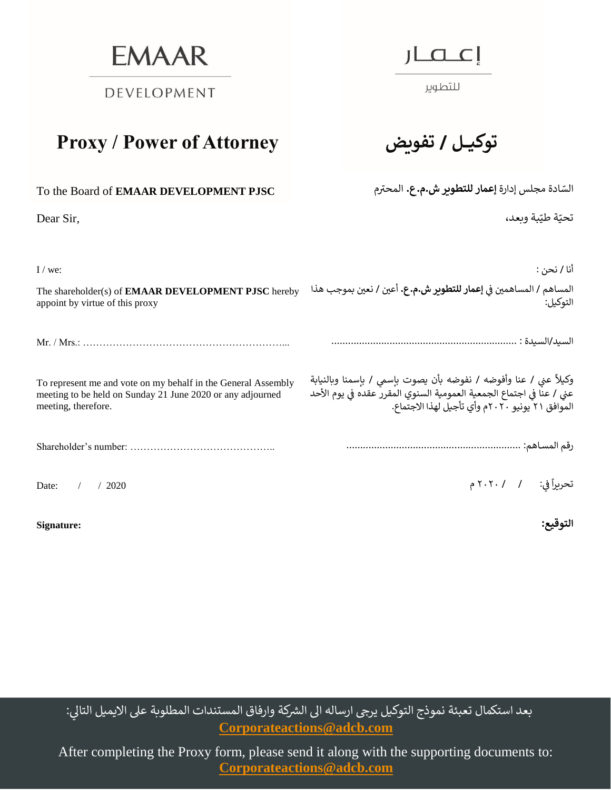**EMAAR** 

DEVELOPMENT

## **Proxy / Power of Attorney تفويض / توكيـــل**

| To the Board of EMAAR DEVELOPMENT PJSC |
|----------------------------------------|
|                                        |

Dear Sir,

للتطوير

.<br>السّادة مجلس إدارة **إعمار للتطوير ش.م.ع.** المحترم

.<br>تحيّة طيّبة وبعد،

| $I$ / we:                                                                                                                                          | أنا / نحن :                                                                                                                                                                                  |
|----------------------------------------------------------------------------------------------------------------------------------------------------|----------------------------------------------------------------------------------------------------------------------------------------------------------------------------------------------|
| The shareholder(s) of <b>EMAAR DEVELOPMENT PJSC</b> hereby<br>appoint by virtue of this proxy                                                      | المساهم / المساهمين في <b>إعمار للتطوير ش.م.ع.</b> أعين / نعين بموجب هذا<br>التوكيل: ٰ                                                                                                       |
|                                                                                                                                                    |                                                                                                                                                                                              |
| To represent me and vote on my behalf in the General Assembly<br>meeting to be held on Sunday 21 June 2020 or any adjourned<br>meeting, therefore. | وكيلاً عني / عنا وأفوضه / نفوضه بأن يصوت بإسمي / بإسمنا وبالنيابة<br>عني / عنا في اجتماع الجمعية العمومية السنوي المقرر عقده في يوم الأحد<br>الموافق ٢١ يونيو ٢٠٢٠م وأي تأجيل لهذا الاجتماع. |
|                                                                                                                                                    |                                                                                                                                                                                              |
| Date:<br>/2020                                                                                                                                     | تحريراً في: / ٢٠٢٠ م                                                                                                                                                                         |
| Signature:                                                                                                                                         | التوفيع:                                                                                                                                                                                     |

بعد استكمال تعبئة نموذج التوكيل يرجى ارساله الى الشركة وارفاق المستندات المطلوبة على الايميل التالي:<br>. **[Corporateactions@adcb.com](mailto:Corporateactions@adcb.com)** 

After completing the Proxy form, please send it along with the supporting documents to:  **[Corporateactions@adcb.com](mailto:Corporateactions@adcb.com)**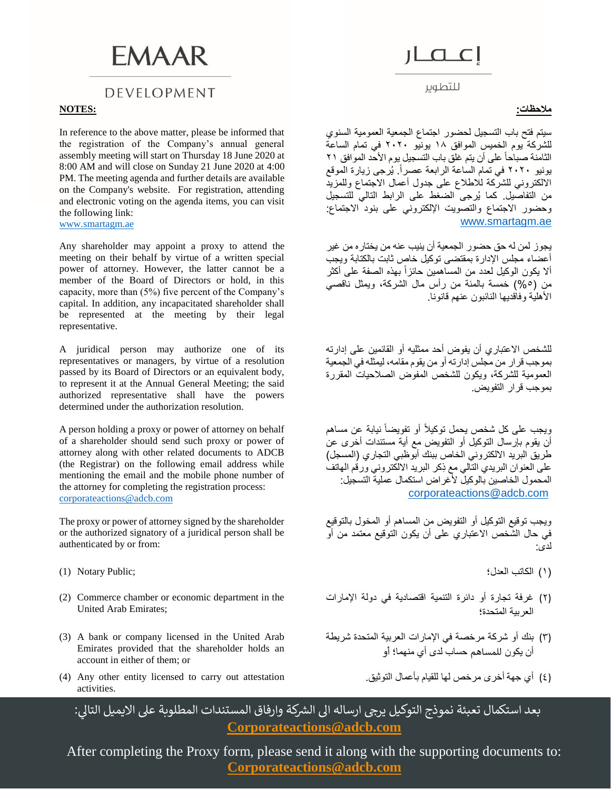# **FMAAR**

### DEVELOPMENT

### **مالحظات: :NOTES**

In reference to the above matter, please be informed that the registration of the Company's annual general assembly meeting will start on Thursday 18 June 2020 at 8:00 AM and will close on Sunday 21 June 2020 at 4:00 PM. The meeting agenda and further details are available on the Company's website. For registration, attending and electronic voting on the agenda items, you can visit the following link: [www.smartagm.ae](http://www.smartagm.ae/)

Any shareholder may appoint a proxy to attend the meeting on their behalf by virtue of a written special power of attorney. However, the latter cannot be a member of the Board of Directors or hold, in this capacity, more than (5%) five percent of the Company's capital. In addition, any incapacitated shareholder shall be represented at the meeting by their legal representative.

A juridical person may authorize one of its representatives or managers, by virtue of a resolution passed by its Board of Directors or an equivalent body, to represent it at the Annual General Meeting; the said authorized representative shall have the powers determined under the authorization resolution.

A person holding a proxy or power of attorney on behalf of a shareholder should send such proxy or power of attorney along with other related documents to ADCB (the Registrar) on the following email address while mentioning the email and the mobile phone number of the attorney for completing the registration process: [corporateactions@adcb.com](mailto:corporateactions@adcb.com)

The proxy or power of attorney signed by the shareholder or the authorized signatory of a juridical person shall be authenticated by or from:

- 
- (2) Commerce chamber or economic department in the United Arab Emirates;
- (3) A bank or company licensed in the United Arab Emirates provided that the shareholder holds an account in either of them; or
- )4( أي جهة أخرى مرخص لها للقيام بأعمال التوثيق. attestation out carry to licensed entity other Any) 4( activities.

للتطوير

سيتم فتح باب التسجيل لحضور اجتماع الجمعية العمومية السنوي للشركة يوم الخميس الموافق ١٨ يونيو ٢٠٢٠ في تمام الساعة الثامنة صباحاً على أن يتم غلق باب التسجيل يوم الأحد الموافق ٢١ يونيو ٢٠٢٠ في تمام الساعة الرابعة عصراً. يُرجى زيارة الموقع االلكتروني للشركة لالطالع على جدول أعمال االجتماع وللمزيد من التفاصيل. كما يُرجى الضغط على الرابط التالي للتسجيل وحضور االجتماع والتصويت اإللكتروني على بنود االجتماع: [www.smartagm.ae](http://www.smartagm.ae/)

يجوز لمن له حق حضور الجمعية أن ينيب عنه من يختاره من غير أعضاء مجلس اإلدارة بمقتضى توكيل خاص ثابت بالكتابة ويجب ألا يكون الوكيل لعدد من المساهمين حائزاً بهذه الصفة على أكثر من (0%) خمسة بالمئة من رأس مال الشركة، ويمثل ناقصي الأهلية وفاقديها النائبون عنهم قانونا.

للشخص االعتباري أن يفوض أحد ممثليه أو القائمين على إدارته بموجب قرار من مجلس إدارته أو من يقوم مقامه، ليمثله في الجمعية العمومية للشركة، ويكون للشخص المفوض الصالحيات المقررة بموجب قرار التفويض.

ويجب على كل شخص يحمل توكيلأ أو تفويضاً نيابة عن مساهم أن يقوم بإرسال التوكيل أو التفويض مع أية مستندات أخرى عن طريق البريد الالكتروني الخاص ببنك أبوظبي التجاري (المسجل) على العنوان البريدي التالي مع ِذكر البريد االلكتروني ورقم الهاتف المحمول الخاصين بالوكيل لأغراض استكمال عملية التسجيل: [corporateactions@adcb.com](mailto:corporateactions@adcb.com)

ويجب توقيع التوكيل أو التفويض من المساهم أو المخول بالتوقيع في حال الشخص االعتباري على أن يكون التوقيع معتمد من أو لدى:

- )١( الكاتب العدل؛ ;Public Notary) 1(
	- )2( غرفة تجارة أو دائرة التنمية اقتصادية في دولة اإلمارات العربية المتحدة؛
	- )3( بنك أو شركة مرخصة في اإلمارات العربية المتحدة شريطة أن يكون للمساهم حساب لدى أي منهما؛ أو
		-

بعد استكمال تعبئة نموذج التوكيل يرجى ارساله الى الشركة وارفاق المستندات المطلوبة على الايميل التالي: **[Corporateactions@adcb.com](mailto:Corporateactions@adcb.com)** 

After completing the Proxy form, please send it along with the supporting documents to:  **[Corporateactions@adcb.com](mailto:Corporateactions@adcb.com)**